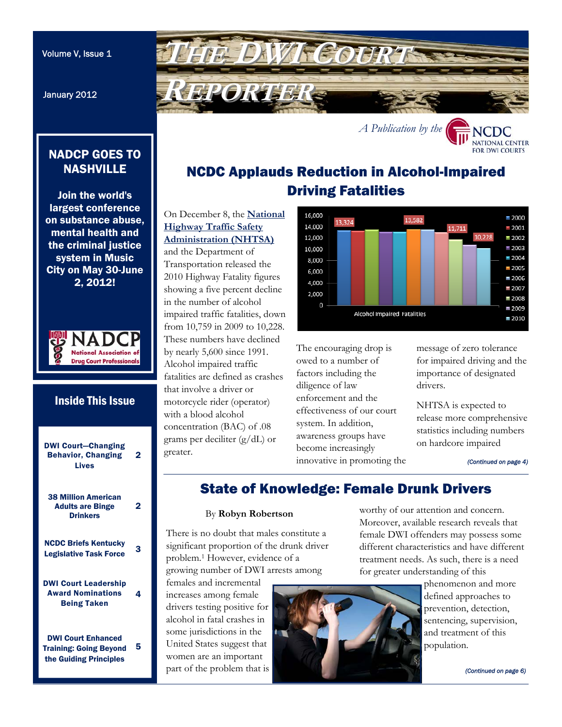January 2012

<span id="page-0-0"></span>

## NADCP GOES TO **NASHVILLE**

Join the world's largest conference on substance abuse, mental health and the criminal justice system in Music City on May 30-June 2, 2012!



## [DWI Court—Changing](#page-1-0)  Behavior, Changing Lives 2 [38 Million American](#page-1-0)  Adults are Binge **Drinkers** 2 NCDC Briefs Kentucky **Legislative Task Force** 3 [DWI Court Leadership](#page-3-0)  Award Nominations Being Taken 4 DWI Court Enhanced [Training: Going Beyond](#page-4-0)  the Guiding Principles 5 Inside This Issue

# NCDC Applauds Reduction in Alcohol-Impaired Driving Fatalities

On December 8, the **National Highway Traffic Safety [Administration \(NHTSA\)](http://www.nhtsa.gov/)** 

and the Department of Transportation released the 2010 Highway Fatality figures showing a five percent decline in the number of alcohol impaired traffic fatalities, down from 10,759 in 2009 to 10,228. These numbers have declined by nearly 5,600 since 1991. Alcohol impaired traffic fatalities are defined as crashes that involve a driver or motorcycle rider (operator) with a blood alcohol concentration (BAC) of .08 grams per deciliter (g/dL) or greater.



The encouraging drop is owed to a number of factors including the diligence of law enforcement and the effectiveness of our court system. In addition, awareness groups have become increasingly innovative in promoting the message of zero tolerance for impaired driving and the importance of designated drivers.

NHTSA is expected to release more comprehensive statistics including numbers on hardcore impaired

*[\(Continued on page 4\)](#page-3-0)* 

**FOR DWI COURTS** 

# State of Knowledge: Female Drunk Drivers

## By **Robyn Robertson**

There is no doubt that males constitute a significant proportion of the drunk driver problem.1 However, evidence of a growing number of DWI arrests among

females and incremental increases among female drivers testing positive for alcohol in fatal crashes in some jurisdictions in the United States suggest that women are an important part of the problem that is worthy of our attention and concern. Moreover, available research reveals that female DWI offenders may possess some different characteristics and have different treatment needs. As such, there is a need for greater understanding of this



phenomenon and more defined approaches to prevention, detection, sentencing, supervision, and treatment of this population.

*[\(Continued on page 6\)](#page-5-0)*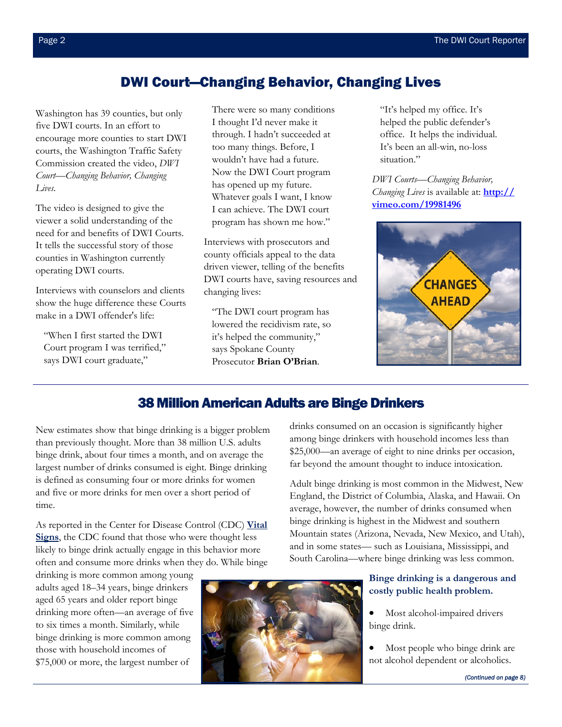## DWI Court—Changing Behavior, Changing Lives

<span id="page-1-0"></span>Washington has 39 counties, but only five DWI courts. In an effort to encourage more counties to start DWI courts, the Washington Traffic Safety Commission created the video, *DWI Court—Changing Behavior, Changing Lives.*

The video is designed to give the viewer a solid understanding of the need for and benefits of DWI Courts. It tells the successful story of those counties in Washington currently operating DWI courts.

Interviews with counselors and clients show the huge difference these Courts make in a DWI offender's life:

"When I first started the DWI Court program I was terrified," says DWI court graduate,"

There were so many conditions I thought I'd never make it through. I hadn't succeeded at too many things. Before, I wouldn't have had a future. Now the DWI Court program has opened up my future. Whatever goals I want, I know I can achieve. The DWI court program has shown me how."

Interviews with prosecutors and county officials appeal to the data driven viewer, telling of the benefits DWI courts have, saving resources and changing lives:

"The DWI court program has lowered the recidivism rate, so it's helped the community," says Spokane County Prosecutor **Brian O'Brian**.

"It's helped my office. It's helped the public defender's office. It helps the individual. It's been an all-win, no-loss situation."

*DWI Courts—Changing Behavior, Changing Lives* is available at: **http:// vimeo.com/19981496**



## 38 Million American Adults are Binge Drinkers

New estimates show that binge drinking is a bigger problem than previously thought. More than 38 million U.S. adults binge drink, about four times a month, and on average the largest number of drinks consumed is eight. Binge drinking is defined as consuming four or more drinks for women and five or more drinks for men over a short period of time.

[As reported in the Center for Disease Control \(CDC\)](http://www.cdc.gov/vitalsigns/index.html) **Vital Signs**, the CDC found that those who were thought less likely to binge drink actually engage in this behavior more often and consume more drinks when they do. While binge

drinking is more common among young adults aged 18–34 years, binge drinkers aged 65 years and older report binge drinking more often—an average of five to six times a month. Similarly, while binge drinking is more common among those with household incomes of \$75,000 or more, the largest number of



drinks consumed on an occasion is significantly higher among binge drinkers with household incomes less than \$25,000—an average of eight to nine drinks per occasion, far beyond the amount thought to induce intoxication.

Adult binge drinking is most common in the Midwest, New England, the District of Columbia, Alaska, and Hawaii. On average, however, the number of drinks consumed when binge drinking is highest in the Midwest and southern Mountain states (Arizona, Nevada, New Mexico, and Utah), and in some states— such as Louisiana, Mississippi, and South Carolina—where binge drinking was less common.

## **Binge drinking is a dangerous and costly public health problem.**

 Most alcohol-impaired drivers binge drink.

 Most people who binge drink are not alcohol dependent or alcoholics.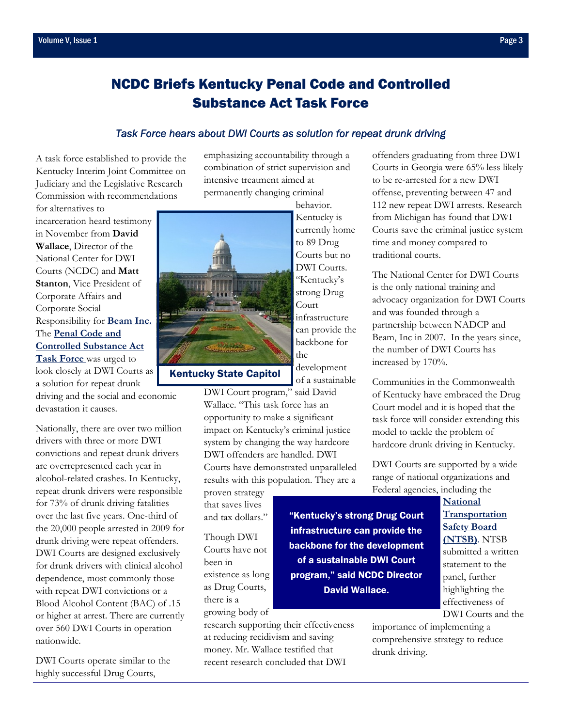for alternatives to

# <span id="page-2-0"></span>NCDC Briefs Kentucky Penal Code and Controlled Substance Act Task Force

### *Task Force hears about DWI Courts as solution for repeat drunk driving*

A task force established to provide the Kentucky Interim Joint Committee on Judiciary and the Legislative Research Commission with recommendations

incarceration heard testimony in November from **David Wallace**, Director of the National Center for DWI Courts (NCDC) and **Matt Stanton**, Vice President of Corporate Affairs and Corporate Social Responsibility for **[Beam Inc.](http://www.beamglobal.com/)**  The **Penal Code and Controlled Substance Act Task Force** was urged to look closely at DWI Courts as a solution for repeat drunk

driving and the social and economic devastation it causes.

Nationally, there are over two million drivers with three or more DWI convictions and repeat drunk drivers are overrepresented each year in alcohol-related crashes. In Kentucky, repeat drunk drivers were responsible for 73% of drunk driving fatalities over the last five years. One-third of the 20,000 people arrested in 2009 for drunk driving were repeat offenders. DWI Courts are designed exclusively for drunk drivers with clinical alcohol dependence, most commonly those with repeat DWI convictions or a Blood Alcohol Content (BAC) of .15 or higher at arrest. There are currently over 560 DWI Courts in operation nationwide.

DWI Courts operate similar to the highly successful Drug Courts,

emphasizing accountability through a combination of strict supervision and intensive treatment aimed at permanently changing criminal behavior.



to 89 Drug Courts but no DWI Courts. "Kentucky's strong Drug Court infrastructure can provide the backbone for the development of a sustainable

Kentucky is currently home

DWI Court program," said David Wallace. "This task force has an opportunity to make a significant impact on Kentucky's criminal justice system by changing the way hardcore DWI offenders are handled. DWI Courts have demonstrated unparalleled results with this population. They are a

proven strategy that saves lives and tax dollars."

Though DWI Courts have not been in existence as long as Drug Courts, there is a growing body of

research supporting their effectiveness at reducing recidivism and saving money. Mr. Wallace testified that recent research concluded that DWI

offenders graduating from three DWI Courts in Georgia were 65% less likely to be re-arrested for a new DWI offense, preventing between 47 and 112 new repeat DWI arrests. Research from Michigan has found that DWI Courts save the criminal justice system time and money compared to traditional courts.

The National Center for DWI Courts is the only national training and advocacy organization for DWI Courts and was founded through a partnership between NADCP and Beam, Inc in 2007. In the years since, the number of DWI Courts has increased by 170%.

Communities in the Commonwealth of Kentucky have embraced the Drug Court model and it is hoped that the task force will consider extending this model to tackle the problem of hardcore drunk driving in Kentucky.

DWI Courts are supported by a wide range of national organizations and Federal agencies, including the

"Kentucky's strong Drug Court infrastructure can provide the backbone for the development of a sustainable DWI Court program," said NCDC Director David Wallace.

**National [Transportation](http://www.ntsb.gov/)  Safety Board (NTSB)**. NTSB submitted a written statement to the panel, further DWI Courts and the

importance of implementing a comprehensive strategy to reduce drunk driving.

highlighting the effectiveness of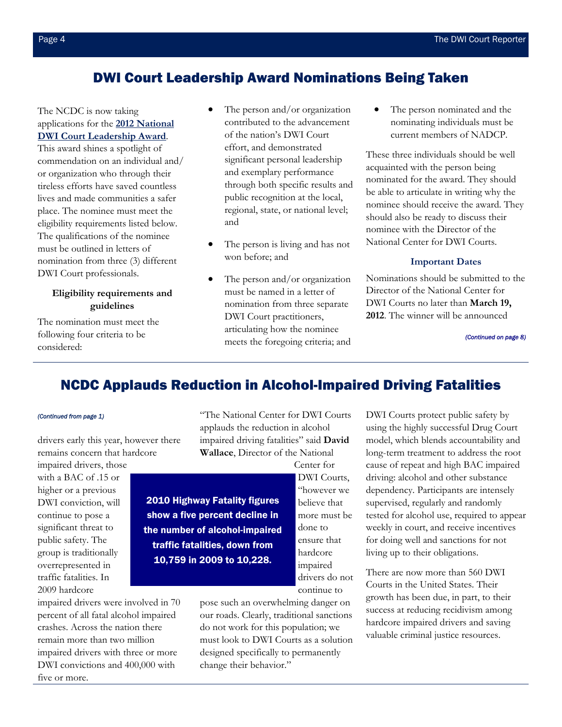## DWI Court Leadership Award Nominations Being Taken

## <span id="page-3-0"></span>The NCDC is now taking applications for the **2012 National [DWI Court Leadership Award](https://www.dwicourts.org)**.

This award shines a spotlight of commendation on an individual and/ or organization who through their tireless efforts have saved countless lives and made communities a safer place. The nominee must meet the eligibility requirements listed below. The qualifications of the nominee must be outlined in letters of nomination from three (3) different DWI Court professionals.

## **Eligibility requirements and guidelines**

The nomination must meet the following four criteria to be considered:

- The person and/or organization contributed to the advancement of the nation's DWI Court effort, and demonstrated significant personal leadership and exemplary performance through both specific results and public recognition at the local, regional, state, or national level; and
- The person is living and has not won before; and
- The person and/or organization must be named in a letter of nomination from three separate DWI Court practitioners, articulating how the nominee meets the foregoing criteria; and

 The person nominated and the nominating individuals must be current members of NADCP.

These three individuals should be well acquainted with the person being nominated for the award. They should be able to articulate in writing why the nominee should receive the award. They should also be ready to discuss their nominee with the Director of the National Center for DWI Courts.

## **Important Dates**

Nominations should be submitted to the Director of the National Center for DWI Courts no later than **March 19, 2012**. The winner will be announced

*[\(Continued on page 8\)](#page-7-0)* 

## NCDC Applauds Reduction in Alcohol-Impaired Driving Fatalities

drivers early this year, however there remains concern that hardcore

impaired drivers, those with a BAC of .15 or higher or a previous DWI conviction, will continue to pose a significant threat to public safety. The group is traditionally overrepresented in traffic fatalities. In 2009 hardcore

impaired drivers were involved in 70 percent of all fatal alcohol impaired crashes. Across the nation there remain more than two million impaired drivers with three or more DWI convictions and 400,000 with five or more.

*[\(Continued from page 1\)](#page-0-0)* "The National Center for DWI Courts applauds the reduction in alcohol impaired driving fatalities" said **David Wallace**, Director of the National

Center for

2010 Highway Fatality figures show a five percent decline in the number of alcohol-impaired traffic fatalities, down from 10,759 in 2009 to 10,228.

DWI Courts, "however we believe that more must be done to ensure that hardcore impaired drivers do not continue to

pose such an overwhelming danger on our roads. Clearly, traditional sanctions do not work for this population; we must look to DWI Courts as a solution designed specifically to permanently change their behavior."

DWI Courts protect public safety by using the highly successful Drug Court model, which blends accountability and long-term treatment to address the root cause of repeat and high BAC impaired driving: alcohol and other substance dependency. Participants are intensely supervised, regularly and randomly tested for alcohol use, required to appear weekly in court, and receive incentives for doing well and sanctions for not living up to their obligations.

There are now more than 560 DWI Courts in the United States. Their growth has been due, in part, to their success at reducing recidivism among hardcore impaired drivers and saving valuable criminal justice resources.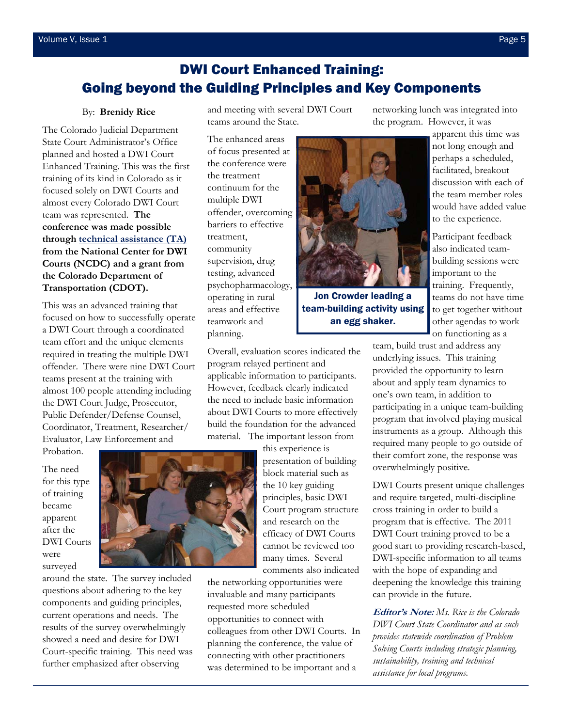# <span id="page-4-0"></span>DWI Court Enhanced Training: Going beyond the Guiding Principles and Key Components

#### By: **Brenidy Rice**

The Colorado Judicial Department State Court Administrator's Office planned and hosted a DWI Court Enhanced Training. This was the first training of its kind in Colorado as it focused solely on DWI Courts and almost every Colorado DWI Court team was represented. **The conference was made possible throu[gh technical assistance \(TA\)](http://www.dwicourts.org/resources/technical-assistance)  from the National Center for DWI Courts (NCDC) and a grant from the Colorado Department of Transportation (CDOT).** 

This was an advanced training that focused on how to successfully operate a DWI Court through a coordinated team effort and the unique elements required in treating the multiple DWI offender. There were nine DWI Court teams present at the training with almost 100 people attending including the DWI Court Judge, Prosecutor, Public Defender/Defense Counsel, Coordinator, Treatment, Researcher/ Evaluator, Law Enforcement and Probation.

The need for this type of training became apparent after the DWI Courts were

surveyed

around the state. The survey included questions about adhering to the key components and guiding principles, current operations and needs. The results of the survey overwhelmingly showed a need and desire for DWI Court-specific training. This need was further emphasized after observing

and meeting with several DWI Court teams around the State.

The enhanced areas of focus presented at the conference were the treatment continuum for the multiple DWI offender, overcoming barriers to effective treatment, community supervision, drug testing, advanced psychopharmacology, operating in rural areas and effective teamwork and planning.



Jon Crowder leading a team-building activity using an egg shaker.

Overall, evaluation scores indicated the applicable information to participants. However, feedback clearly indicated the need to include basic information about DWI Courts to more effectively build the foundation for the advanced material. The important lesson from

> this experience is presentation of building block material such as the 10 key guiding principles, basic DWI Court program structure and research on the efficacy of DWI Courts cannot be reviewed too many times. Several comments also indicated

the networking opportunities were invaluable and many participants requested more scheduled opportunities to connect with colleagues from other DWI Courts. In planning the conference, the value of connecting with other practitioners was determined to be important and a

networking lunch was integrated into the program. However, it was

> apparent this time was not long enough and perhaps a scheduled, facilitated, breakout discussion with each of the team member roles would have added value to the experience.

Participant feedback also indicated teambuilding sessions were important to the training. Frequently, teams do not have time to get together without other agendas to work on functioning as a

team, build trust and address any underlying issues. This training provided the opportunity to learn about and apply team dynamics to one's own team, in addition to participating in a unique team-building program that involved playing musical instruments as a group. Although this required many people to go outside of their comfort zone, the response was overwhelmingly positive.

DWI Courts present unique challenges and require targeted, multi-discipline cross training in order to build a program that is effective. The 2011 DWI Court training proved to be a good start to providing research-based, DWI-specific information to all teams with the hope of expanding and deepening the knowledge this training can provide in the future.

**Editor's Note:** *Ms. Rice is the Colorado DWI Court State Coordinator and as such provides statewide coordination of Problem Solving Courts including strategic planning, sustainability, training and technical assistance for local programs.* 

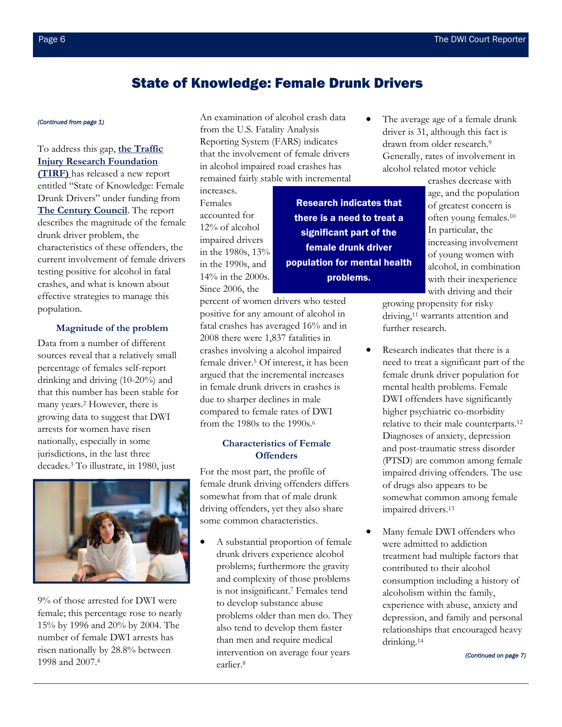## State of Knowledge: Female Drunk Drivers

To address this gap, **the Traffic [Injury Research Foundation](http://tirf.ca/)  (TIRF)** has released a new report entitled "State of Knowledge: Female Drunk Drivers" under funding from **[The Century Council](http://www.centurycouncil.org/)**. The report describes the magnitude of the female drunk driver problem, the characteristics of these offenders, the current involvement of female drivers testing positive for alcohol in fatal crashes, and what is known about effective strategies to manage this population.

### **Magnitude of the problem**

Data from a number of different sources reveal that a relatively small percentage of females self-report drinking and driving (10-20%) and that this number has been stable for many years.2 However, there is growing data to suggest that DWI arrests for women have risen nationally, especially in some jurisdictions, in the last three decades.3 To illustrate, in 1980, just



9% of those arrested for DWI were female; this percentage rose to nearly 15% by 1996 and 20% by 2004. The number of female DWI arrests has risen nationally by 28.8% between 1998 and 2007.4

<span id="page-5-0"></span>*[\(Continued from page 1\)](#page-0-0)* An examination of alcohol crash data from the U.S. Fatality Analysis Reporting System (FARS) indicates that the involvement of female drivers in alcohol impaired road crashes has remained fairly stable with incremental

> Research indicates that there is a need to treat a significant part of the female drunk driver population for mental health problems.

increases. Females accounted for 12% of alcohol impaired drivers in the 1980s, 13% in the 1990s, and 14% in the 2000s. Since 2006, the

percent of women drivers who tested positive for any amount of alcohol in fatal crashes has averaged 16% and in 2008 there were 1,837 fatalities in crashes involving a alcohol impaired female driver.5 Of interest, it has been argued that the incremental increases in female drunk drivers in crashes is due to sharper declines in male compared to female rates of DWI from the 1980s to the 1990s.6

## **Characteristics of Female Offenders**

For the most part, the profile of female drunk driving offenders differs somewhat from that of male drunk driving offenders, yet they also share some common characteristics.

 A substantial proportion of female drunk drivers experience alcohol problems; furthermore the gravity and complexity of those problems is not insignificant.7 Females tend to develop substance abuse problems older than men do. They also tend to develop them faster than men and require medical intervention on average four years earlier.8

 The average age of a female drunk driver is 31, although this fact is drawn from older research.9 Generally, rates of involvement in alcohol related motor vehicle

> crashes decrease with age, and the population of greatest concern is often young females.10 In particular, the increasing involvement of young women with alcohol, in combination with their inexperience with driving and their

growing propensity for risky driving,11 warrants attention and further research.

- Research indicates that there is a need to treat a significant part of the female drunk driver population for mental health problems. Female DWI offenders have significantly higher psychiatric co-morbidity relative to their male counterparts.12 Diagnoses of anxiety, depression and post-traumatic stress disorder (PTSD) are common among female impaired driving offenders. The use of drugs also appears to be somewhat common among female impaired drivers.13
- Many female DWI offenders who were admitted to addiction treatment had multiple factors that contributed to their alcohol consumption including a history of alcoholism within the family, experience with abuse, anxiety and depression, and family and personal relationships that encouraged heavy drinking.14

*[\(Continued on page 7\)](#page-6-0)*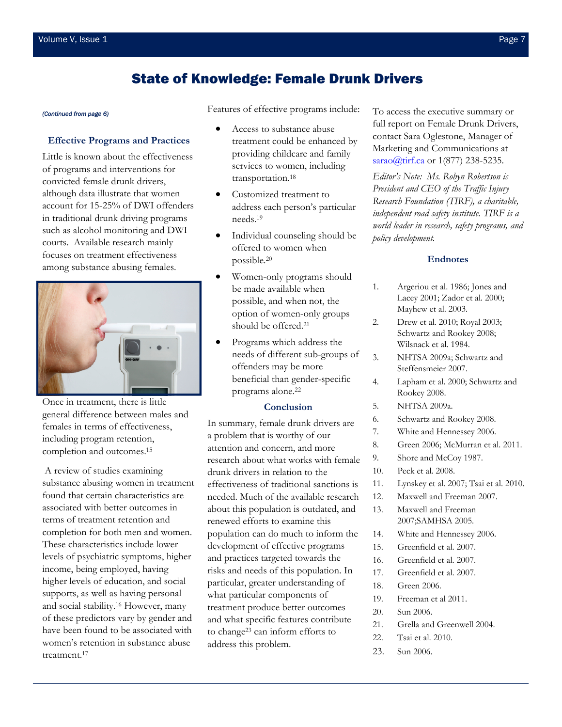## State of Knowledge: Female Drunk Drivers

#### **Effective Programs and Practices**

Little is known about the effectiveness of programs and interventions for convicted female drunk drivers, although data illustrate that women account for 15-25% of DWI offenders in traditional drunk driving programs such as alcohol monitoring and DWI courts. Available research mainly focuses on treatment effectiveness among substance abusing females.



Once in treatment, there is little general difference between males and females in terms of effectiveness, including program retention, completion and outcomes.15

 A review of studies examining substance abusing women in treatment found that certain characteristics are associated with better outcomes in terms of treatment retention and completion for both men and women. These characteristics include lower levels of psychiatric symptoms, higher income, being employed, having higher levels of education, and social supports, as well as having personal and social stability.16 However, many of these predictors vary by gender and have been found to be associated with women's retention in substance abuse treatment.17

<span id="page-6-0"></span>*[\(Continued from page 6\)](#page-5-0)* Features of effective programs include:

- Access to substance abuse treatment could be enhanced by providing childcare and family services to women, including transportation.18
- Customized treatment to address each person's particular needs.19
- Individual counseling should be offered to women when possible.20
- Women-only programs should be made available when possible, and when not, the option of women-only groups should be offered.21
- Programs which address the needs of different sub-groups of offenders may be more beneficial than gender-specific programs alone.22

#### **Conclusion**

In summary, female drunk drivers are a problem that is worthy of our attention and concern, and more research about what works with female drunk drivers in relation to the effectiveness of traditional sanctions is needed. Much of the available research about this population is outdated, and renewed efforts to examine this population can do much to inform the development of effective programs and practices targeted towards the risks and needs of this population. In particular, greater understanding of what particular components of treatment produce better outcomes and what specific features contribute to change23 can inform efforts to address this problem.

To access the executive summary or full report on Female Drunk Drivers, contact Sara Oglestone, Manager of Marketing and Communications at sarao@tirf.ca or 1(877) 238-5235.

*Editor's Note: Ms. Robyn Robertson is President and CEO of the Traffic Injury Research Foundation (TIRF), a charitable, independent road safety institute. TIRF is a world leader in research, safety programs, and policy development.* 

#### **Endnotes**

- 1. Argeriou et al. 1986; Jones and Lacey 2001; Zador et al. 2000; Mayhew et al. 2003.
- 2. Drew et al. 2010; Royal 2003; Schwartz and Rookey 2008; Wilsnack et al. 1984.
- 3. NHTSA 2009a; Schwartz and Steffensmeier 2007.
- 4. Lapham et al. 2000; Schwartz and Rookey 2008.
- 5. NHTSA 2009a.
- 6. Schwartz and Rookey 2008.
- 7. White and Hennessey 2006.
- 8. Green 2006; McMurran et al. 2011.
- 9. Shore and McCoy 1987.
- 10. Peck et al. 2008.
- 11. Lynskey et al. 2007; Tsai et al. 2010.
- 12. Maxwell and Freeman 2007.
- 13. Maxwell and Freeman 2007;SAMHSA 2005.
- 14. White and Hennessey 2006.
- 15. Greenfield et al. 2007.
- 16. Greenfield et al. 2007.
- 17. Greenfield et al. 2007.
- 18. Green 2006.
- 19. Freeman et al 2011.
- 20. Sun 2006.
- 21. Grella and Greenwell 2004.
- 22. Tsai et al. 2010.
- 23. Sun 2006.